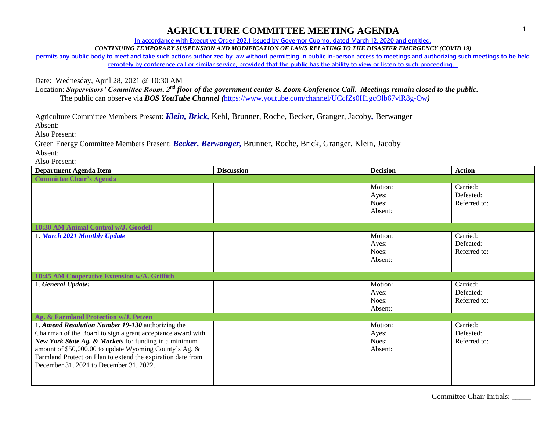## **AGRICULTURE COMMITTEE MEETING AGENDA**

**In accordance with Executive Order 202.1 issued by Governor Cuomo, dated March 12, 2020 and entitled,**

*CONTINUING TEMPORARY SUSPENSION AND MODIFICATION OF LAWS RELATING TO THE DISASTER EMERGENCY (COVID 19)*

**permits any public body to meet and take such actions authorized by law without permitting in public in-person access to meetings and authorizing such meetings to be held remotely by conference call or similar service, provided that the public has the ability to view or listen to such proceeding…**

Date: Wednesday, April 28, 2021 @ 10:30 AM

Location: *Supervisors' Committee Room, 2nd floor of the government center* & *Zoom Conference Call. Meetings remain closed to the public.* The public can observe via *BOS YouTube Channel (*<https://www.youtube.com/channel/UCcfZs0H1gcOlb67vlR8g-Ow>*)*

Agriculture Committee Members Present: *Klein, Brick,* Kehl, Brunner, Roche, Becker, Granger, Jacoby*,* Berwanger

Absent:

Also Present:

Green Energy Committee Members Present: *Becker, Berwanger,* Brunner, Roche, Brick, Granger, Klein, Jacoby Absent:

Also Present:

| <b>Department Agenda Item</b>                               | <b>Discussion</b> | <b>Decision</b> | <b>Action</b> |  |  |  |
|-------------------------------------------------------------|-------------------|-----------------|---------------|--|--|--|
| <b>Committee Chair's Agenda</b>                             |                   |                 |               |  |  |  |
|                                                             |                   | Motion:         | Carried:      |  |  |  |
|                                                             |                   | Ayes:           | Defeated:     |  |  |  |
|                                                             |                   | Noes:           | Referred to:  |  |  |  |
|                                                             |                   | Absent:         |               |  |  |  |
|                                                             |                   |                 |               |  |  |  |
| 10:30 AM Animal Control w/J. Goodell                        |                   |                 |               |  |  |  |
| 1. March 2021 Monthly Update                                |                   | Motion:         | Carried:      |  |  |  |
|                                                             |                   | Ayes:           | Defeated:     |  |  |  |
|                                                             |                   | Noes:           | Referred to:  |  |  |  |
|                                                             |                   | Absent:         |               |  |  |  |
|                                                             |                   |                 |               |  |  |  |
| 10:45 AM Cooperative Extension w/A. Griffith                |                   |                 |               |  |  |  |
| 1. General Update:                                          |                   | Motion:         | Carried:      |  |  |  |
|                                                             |                   | Ayes:           | Defeated:     |  |  |  |
|                                                             |                   | Noes:           | Referred to:  |  |  |  |
|                                                             |                   | Absent:         |               |  |  |  |
| Ag. & Farmland Protection w/J. Petzen                       |                   |                 |               |  |  |  |
| 1. Amend Resolution Number 19-130 authorizing the           |                   | Motion:         | Carried:      |  |  |  |
| Chairman of the Board to sign a grant acceptance award with |                   | Ayes:           | Defeated:     |  |  |  |
| New York State Ag. & Markets for funding in a minimum       |                   | Noes:           | Referred to:  |  |  |  |
| amount of \$50,000.00 to update Wyoming County's Ag. &      |                   | Absent:         |               |  |  |  |
| Farmland Protection Plan to extend the expiration date from |                   |                 |               |  |  |  |
| December 31, 2021 to December 31, 2022.                     |                   |                 |               |  |  |  |
|                                                             |                   |                 |               |  |  |  |
|                                                             |                   |                 |               |  |  |  |

Committee Chair Initials: \_\_\_\_\_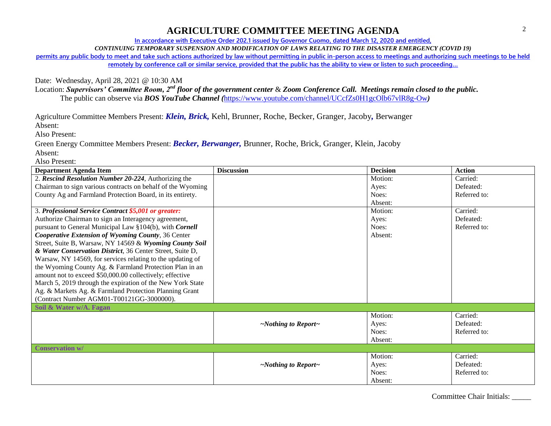## **AGRICULTURE COMMITTEE MEETING AGENDA**

**In accordance with Executive Order 202.1 issued by Governor Cuomo, dated March 12, 2020 and entitled,**

*CONTINUING TEMPORARY SUSPENSION AND MODIFICATION OF LAWS RELATING TO THE DISASTER EMERGENCY (COVID 19)*

**permits any public body to meet and take such actions authorized by law without permitting in public in-person access to meetings and authorizing such meetings to be held remotely by conference call or similar service, provided that the public has the ability to view or listen to such proceeding…**

Date: Wednesday, April 28, 2021 @ 10:30 AM

Location: *Supervisors' Committee Room, 2nd floor of the government center* & *Zoom Conference Call. Meetings remain closed to the public.* The public can observe via *BOS YouTube Channel (*<https://www.youtube.com/channel/UCcfZs0H1gcOlb67vlR8g-Ow>*)*

Agriculture Committee Members Present: *Klein, Brick,* Kehl, Brunner, Roche, Becker, Granger, Jacoby*,* Berwanger

Absent:

Also Present:

Green Energy Committee Members Present: *Becker, Berwanger,* Brunner, Roche, Brick, Granger, Klein, Jacoby Absent:

Also Present:

| <b>Department Agenda Item</b>                               | <b>Discussion</b>               | <b>Decision</b> | <b>Action</b> |
|-------------------------------------------------------------|---------------------------------|-----------------|---------------|
| 2. Rescind Resolution Number 20-224, Authorizing the        |                                 | Motion:         | Carried:      |
| Chairman to sign various contracts on behalf of the Wyoming |                                 | Ayes:           | Defeated:     |
| County Ag and Farmland Protection Board, in its entirety.   |                                 | Noes:           | Referred to:  |
|                                                             |                                 | Absent:         |               |
| 3. Professional Service Contract \$5,001 or greater:        |                                 | Motion:         | Carried:      |
| Authorize Chairman to sign an Interagency agreement,        |                                 | Ayes:           | Defeated:     |
| pursuant to General Municipal Law §104(b), with Cornell     |                                 | Noes:           | Referred to:  |
| Cooperative Extension of Wyoming County, 36 Center          |                                 | Absent:         |               |
| Street, Suite B, Warsaw, NY 14569 & Wyoming County Soil     |                                 |                 |               |
| & Water Conservation District, 36 Center Street, Suite D,   |                                 |                 |               |
| Warsaw, NY 14569, for services relating to the updating of  |                                 |                 |               |
| the Wyoming County Ag. & Farmland Protection Plan in an     |                                 |                 |               |
| amount not to exceed \$50,000.00 collectively; effective    |                                 |                 |               |
| March 5, 2019 through the expiration of the New York State  |                                 |                 |               |
| Ag. & Markets Ag. & Farmland Protection Planning Grant      |                                 |                 |               |
| (Contract Number AGM01-T00121GG-3000000).                   |                                 |                 |               |
| Soil & Water w/A. Fagan                                     |                                 |                 |               |
|                                                             |                                 | Motion:         | Carried:      |
|                                                             | $\sim$ Nothing to Report $\sim$ | Ayes:           | Defeated:     |
|                                                             |                                 | Noes:           | Referred to:  |
|                                                             |                                 | Absent:         |               |
| <b>Conservation w/</b>                                      |                                 |                 |               |
|                                                             |                                 | Motion:         | Carried:      |
|                                                             | $\sim$ Nothing to Report $\sim$ | Ayes:           | Defeated:     |
|                                                             |                                 | Noes:           | Referred to:  |
|                                                             |                                 | Absent:         |               |

Committee Chair Initials: \_\_\_\_\_